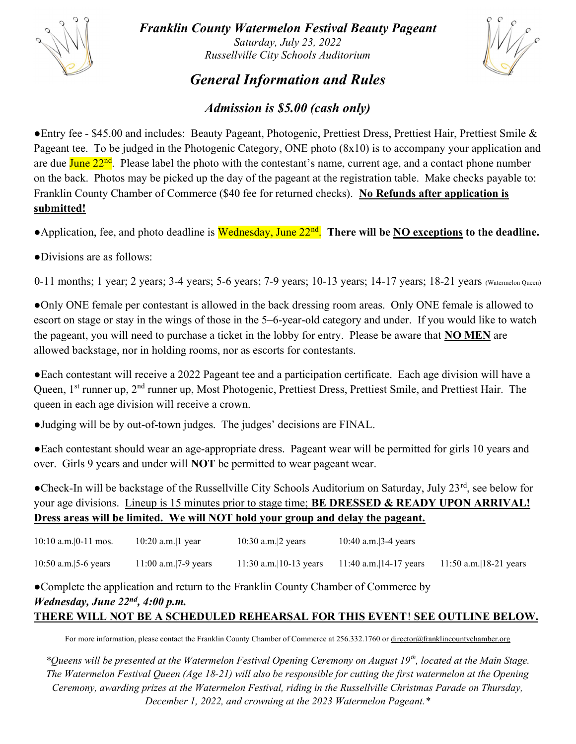

Franklin County Watermelon Festival Beauty Pageant Saturday, July 23, 2022 Russellville City Schools Auditorium



## General Information and Rules

## Admission is \$5.00 (cash only)

●Entry fee - \$45.00 and includes: Beauty Pageant, Photogenic, Prettiest Dress, Prettiest Hair, Prettiest Smile & Pageant tee. To be judged in the Photogenic Category, ONE photo (8x10) is to accompany your application and are due  $\text{June } 22^{\text{nd}}$ . Please label the photo with the contestant's name, current age, and a contact phone number on the back. Photos may be picked up the day of the pageant at the registration table. Make checks payable to: Franklin County Chamber of Commerce (\$40 fee for returned checks). No Refunds after application is submitted!

• Application, fee, and photo deadline is Wednesday, June 22<sup>nd</sup>. There will be NO exceptions to the deadline.

●Divisions are as follows:

0-11 months; 1 year; 2 years; 3-4 years; 5-6 years; 7-9 years; 10-13 years; 14-17 years; 18-21 years (Watermelon Queen)

●Only ONE female per contestant is allowed in the back dressing room areas. Only ONE female is allowed to escort on stage or stay in the wings of those in the 5–6-year-old category and under. If you would like to watch the pageant, you will need to purchase a ticket in the lobby for entry. Please be aware that NO MEN are allowed backstage, nor in holding rooms, nor as escorts for contestants.

●Each contestant will receive a 2022 Pageant tee and a participation certificate. Each age division will have a Queen, 1<sup>st</sup> runner up, 2<sup>nd</sup> runner up, Most Photogenic, Prettiest Dress, Prettiest Smile, and Prettiest Hair. The queen in each age division will receive a crown.

●Judging will be by out-of-town judges. The judges' decisions are FINAL.

●Each contestant should wear an age-appropriate dress. Pageant wear will be permitted for girls 10 years and over. Girls 9 years and under will NOT be permitted to wear pageant wear.

●Check-In will be backstage of the Russellville City Schools Auditorium on Saturday, July 23<sup>rd</sup>, see below for your age divisions. Lineup is 15 minutes prior to stage time; **BE DRESSED & READY UPON ARRIVAL!** Dress areas will be limited. We will NOT hold your group and delay the pageant.

| $10:10$ a.m. $ 0-11$ mos. | 10:20 a.m. 1 year    | $10:30$ a.m. $ 2$ years   | 10:40 a.m. $3-4$ years |                        |
|---------------------------|----------------------|---------------------------|------------------------|------------------------|
| 10:50 a.m. $ 5-6$ years   | 11:00 a.m. 7-9 years | 11:30 a.m. $ 10-13$ years | 11:40 a.m. 14-17 years | 11:50 a.m. 18-21 years |

●Complete the application and return to the Franklin County Chamber of Commerce by Wednesday, June  $22^{nd}$ , 4:00 p.m. THERE WILL NOT BE A SCHEDULED REHEARSAL FOR THIS EVENT! SEE OUTLINE BELOW.

For more information, please contact the Franklin County Chamber of Commerce at 256.332.1760 or director@franklincountychamber.org

\*Queens will be presented at the Watermelon Festival Opening Ceremony on August 19<sup>th</sup>, located at the Main Stage. The Watermelon Festival Queen (Age 18-21) will also be responsible for cutting the first watermelon at the Opening Ceremony, awarding prizes at the Watermelon Festival, riding in the Russellville Christmas Parade on Thursday, December 1, 2022, and crowning at the 2023 Watermelon Pageant.\*